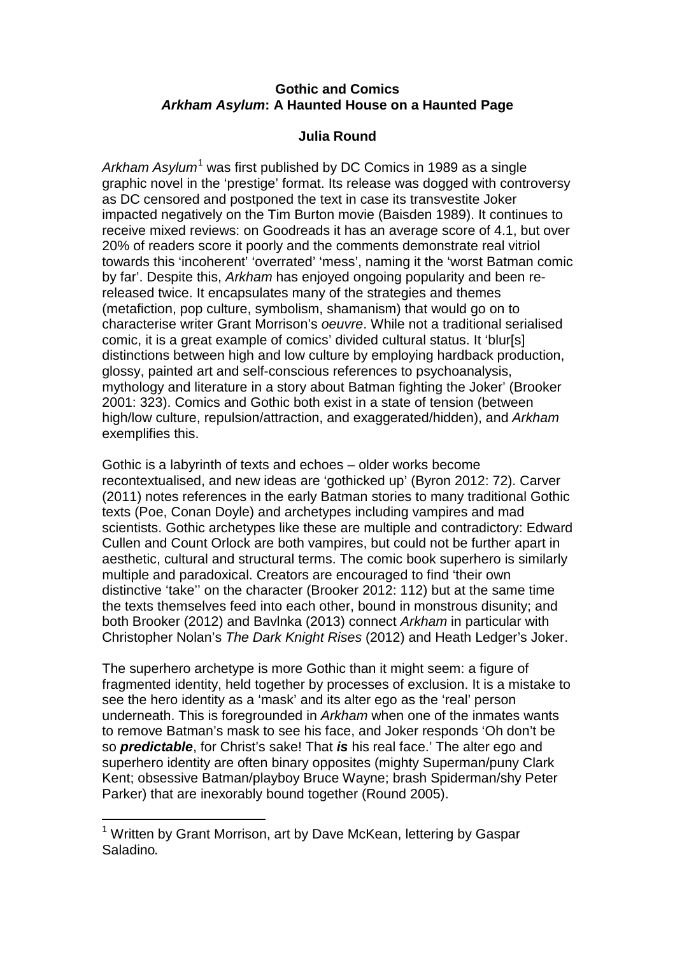## **Gothic and Comics** *Arkham Asylum***: A Haunted House on a Haunted Page**

## **Julia Round**

Arkham Asylum<sup>[1](#page-0-0)</sup> was first published by DC Comics in 1989 as a single graphic novel in the 'prestige' format. Its release was dogged with controversy as DC censored and postponed the text in case its transvestite Joker impacted negatively on the Tim Burton movie (Baisden 1989). It continues to receive mixed reviews: on Goodreads it has an average score of 4.1, but over 20% of readers score it poorly and the comments demonstrate real vitriol towards this 'incoherent' 'overrated' 'mess', naming it the 'worst Batman comic by far'. Despite this, *Arkham* has enjoyed ongoing popularity and been rereleased twice. It encapsulates many of the strategies and themes (metafiction, pop culture, symbolism, shamanism) that would go on to characterise writer Grant Morrison's *oeuvre*. While not a traditional serialised comic, it is a great example of comics' divided cultural status. It 'blur[s] distinctions between high and low culture by employing hardback production, glossy, painted art and self-conscious references to psychoanalysis, mythology and literature in a story about Batman fighting the Joker' (Brooker 2001: 323). Comics and Gothic both exist in a state of tension (between high/low culture, repulsion/attraction, and exaggerated/hidden), and *Arkham* exemplifies this.

Gothic is a labyrinth of texts and echoes – older works become recontextualised, and new ideas are 'gothicked up' (Byron 2012: 72). Carver (2011) notes references in the early Batman stories to many traditional Gothic texts (Poe, Conan Doyle) and archetypes including vampires and mad scientists. Gothic archetypes like these are multiple and contradictory: Edward Cullen and Count Orlock are both vampires, but could not be further apart in aesthetic, cultural and structural terms. The comic book superhero is similarly multiple and paradoxical. Creators are encouraged to find 'their own distinctive 'take'' on the character (Brooker 2012: 112) but at the same time the texts themselves feed into each other, bound in monstrous disunity; and both Brooker (2012) and Bavlnka (2013) connect *Arkham* in particular with Christopher Nolan's *The Dark Knight Rises* (2012) and Heath Ledger's Joker.

The superhero archetype is more Gothic than it might seem: a figure of fragmented identity, held together by processes of exclusion. It is a mistake to see the hero identity as a 'mask' and its alter ego as the 'real' person underneath. This is foregrounded in *Arkham* when one of the inmates wants to remove Batman's mask to see his face, and Joker responds 'Oh don't be so *predictable*, for Christ's sake! That *is* his real face.' The alter ego and superhero identity are often binary opposites (mighty Superman/puny Clark Kent; obsessive Batman/playboy Bruce Wayne; brash Spiderman/shy Peter Parker) that are inexorably bound together (Round 2005).

<span id="page-0-0"></span><sup>&</sup>lt;sup>1</sup> Written by Grant Morrison, art by Dave McKean, lettering by Gaspar Saladino.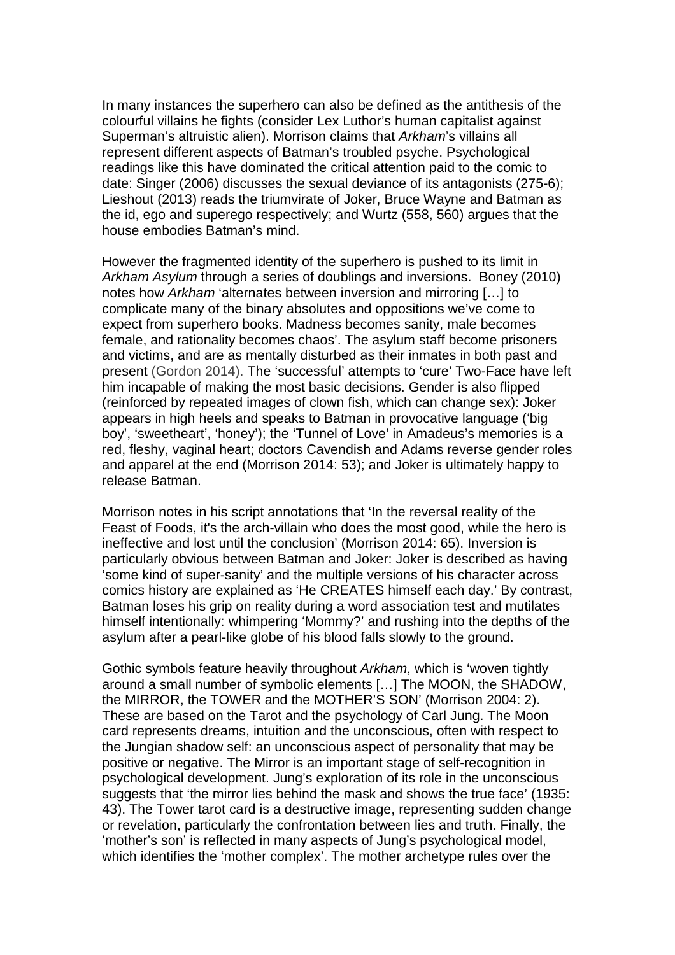In many instances the superhero can also be defined as the antithesis of the colourful villains he fights (consider Lex Luthor's human capitalist against Superman's altruistic alien). Morrison claims that *Arkham*'s villains all represent different aspects of Batman's troubled psyche. Psychological readings like this have dominated the critical attention paid to the comic to date: Singer (2006) discusses the sexual deviance of its antagonists (275-6); Lieshout (2013) reads the triumvirate of Joker, Bruce Wayne and Batman as the id, ego and superego respectively; and Wurtz (558, 560) argues that the house embodies Batman's mind.

However the fragmented identity of the superhero is pushed to its limit in *Arkham Asylum* through a series of doublings and inversions. Boney (2010) notes how *Arkham* 'alternates between inversion and mirroring […] to complicate many of the binary absolutes and oppositions we've come to expect from superhero books. Madness becomes sanity, male becomes female, and rationality becomes chaos'. The asylum staff become prisoners and victims, and are as mentally disturbed as their inmates in both past and present (Gordon 2014). The 'successful' attempts to 'cure' Two-Face have left him incapable of making the most basic decisions. Gender is also flipped (reinforced by repeated images of clown fish, which can change sex): Joker appears in high heels and speaks to Batman in provocative language ('big boy', 'sweetheart', 'honey'); the 'Tunnel of Love' in Amadeus's memories is a red, fleshy, vaginal heart; doctors Cavendish and Adams reverse gender roles and apparel at the end (Morrison 2014: 53); and Joker is ultimately happy to release Batman.

Morrison notes in his script annotations that 'In the reversal reality of the Feast of Foods, it's the arch-villain who does the most good, while the hero is ineffective and lost until the conclusion' (Morrison 2014: 65). Inversion is particularly obvious between Batman and Joker: Joker is described as having 'some kind of super-sanity' and the multiple versions of his character across comics history are explained as 'He CREATES himself each day.' By contrast, Batman loses his grip on reality during a word association test and mutilates himself intentionally: whimpering 'Mommy?' and rushing into the depths of the asylum after a pearl-like globe of his blood falls slowly to the ground.

Gothic symbols feature heavily throughout *Arkham*, which is 'woven tightly around a small number of symbolic elements […] The MOON, the SHADOW, the MIRROR, the TOWER and the MOTHER'S SON' (Morrison 2004: 2). These are based on the Tarot and the psychology of Carl Jung. The Moon card represents dreams, intuition and the unconscious, often with respect to the Jungian shadow self: an unconscious aspect of personality that may be positive or negative. The Mirror is an important stage of self-recognition in psychological development. Jung's exploration of its role in the unconscious suggests that 'the mirror lies behind the mask and shows the true face' (1935: 43). The Tower tarot card is a destructive image, representing sudden change or revelation, particularly the confrontation between lies and truth. Finally, the 'mother's son' is reflected in many aspects of Jung's psychological model, which identifies the 'mother complex'. The mother archetype rules over the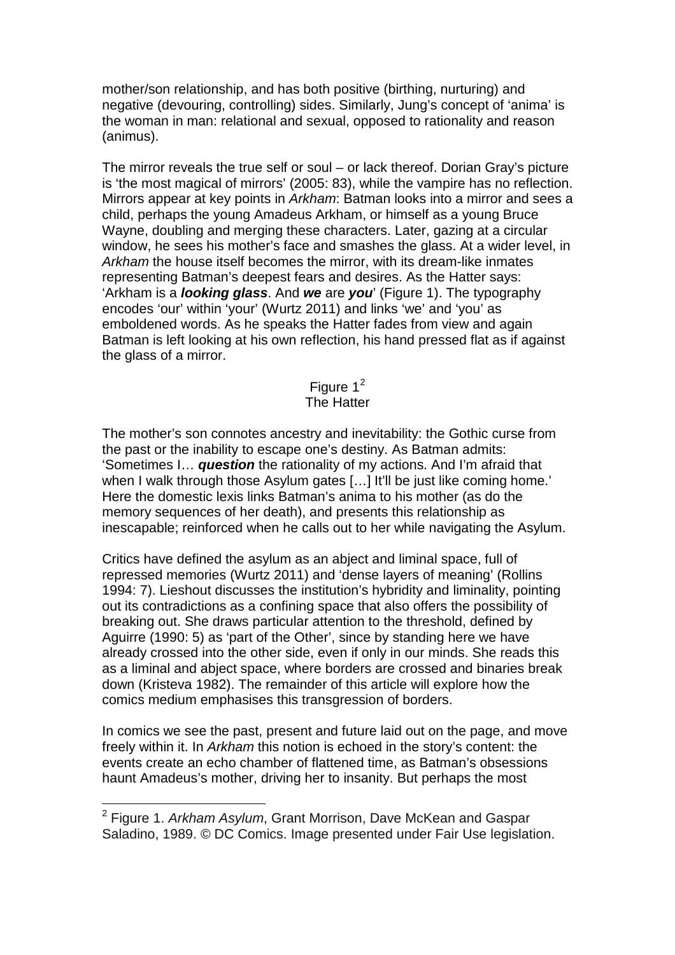mother/son relationship, and has both positive (birthing, nurturing) and negative (devouring, controlling) sides. Similarly, Jung's concept of 'anima' is the woman in man: relational and sexual, opposed to rationality and reason (animus).

The mirror reveals the true self or soul – or lack thereof. Dorian Gray's picture is 'the most magical of mirrors' (2005: 83), while the vampire has no reflection. Mirrors appear at key points in *Arkham*: Batman looks into a mirror and sees a child, perhaps the young Amadeus Arkham, or himself as a young Bruce Wayne, doubling and merging these characters. Later, gazing at a circular window, he sees his mother's face and smashes the glass. At a wider level, in *Arkham* the house itself becomes the mirror, with its dream-like inmates representing Batman's deepest fears and desires. As the Hatter says: 'Arkham is a *looking glass*. And *we* are *you*' (Figure 1). The typography encodes 'our' within 'your' (Wurtz 2011) and links 'we' and 'you' as emboldened words. As he speaks the Hatter fades from view and again Batman is left looking at his own reflection, his hand pressed flat as if against the glass of a mirror.

## Figure  $1^2$  $1^2$ The Hatter

The mother's son connotes ancestry and inevitability: the Gothic curse from the past or the inability to escape one's destiny. As Batman admits: 'Sometimes I… *question* the rationality of my actions. And I'm afraid that when I walk through those Asylum gates [...] It'll be just like coming home.' Here the domestic lexis links Batman's anima to his mother (as do the memory sequences of her death), and presents this relationship as inescapable; reinforced when he calls out to her while navigating the Asylum.

Critics have defined the asylum as an abject and liminal space, full of repressed memories (Wurtz 2011) and 'dense layers of meaning' (Rollins 1994: 7). Lieshout discusses the institution's hybridity and liminality, pointing out its contradictions as a confining space that also offers the possibility of breaking out. She draws particular attention to the threshold, defined by Aguirre (1990: 5) as 'part of the Other', since by standing here we have already crossed into the other side, even if only in our minds. She reads this as a liminal and abject space, where borders are crossed and binaries break down (Kristeva 1982). The remainder of this article will explore how the comics medium emphasises this transgression of borders.

In comics we see the past, present and future laid out on the page, and move freely within it. In *Arkham* this notion is echoed in the story's content: the events create an echo chamber of flattened time, as Batman's obsessions haunt Amadeus's mother, driving her to insanity. But perhaps the most

<span id="page-2-0"></span><sup>2</sup> Figure 1. *Arkham Asylum*, Grant Morrison, Dave McKean and Gaspar Saladino, 1989. © DC Comics. Image presented under Fair Use legislation.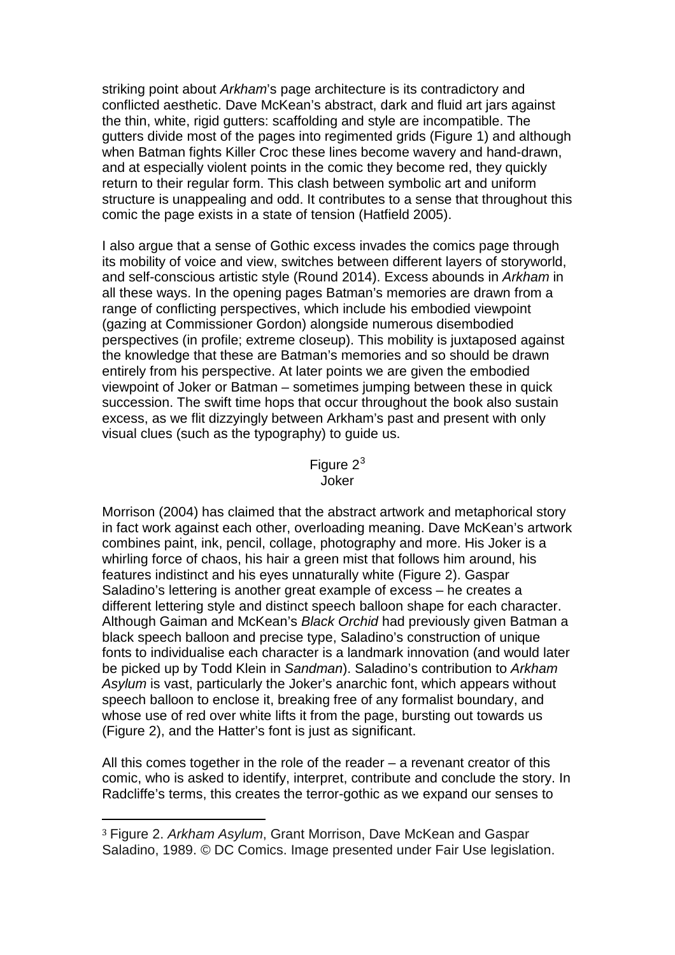striking point about *Arkham*'s page architecture is its contradictory and conflicted aesthetic. Dave McKean's abstract, dark and fluid art jars against the thin, white, rigid gutters: scaffolding and style are incompatible. The gutters divide most of the pages into regimented grids (Figure 1) and although when Batman fights Killer Croc these lines become wavery and hand-drawn, and at especially violent points in the comic they become red, they quickly return to their regular form. This clash between symbolic art and uniform structure is unappealing and odd. It contributes to a sense that throughout this comic the page exists in a state of tension (Hatfield 2005).

I also argue that a sense of Gothic excess invades the comics page through its mobility of voice and view, switches between different layers of storyworld, and self-conscious artistic style (Round 2014). Excess abounds in *Arkham* in all these ways. In the opening pages Batman's memories are drawn from a range of conflicting perspectives, which include his embodied viewpoint (gazing at Commissioner Gordon) alongside numerous disembodied perspectives (in profile; extreme closeup). This mobility is juxtaposed against the knowledge that these are Batman's memories and so should be drawn entirely from his perspective. At later points we are given the embodied viewpoint of Joker or Batman – sometimes jumping between these in quick succession. The swift time hops that occur throughout the book also sustain excess, as we flit dizzyingly between Arkham's past and present with only visual clues (such as the typography) to guide us.

> Figure 2<sup>[3](#page-3-0)</sup> Joker

Morrison (2004) has claimed that the abstract artwork and metaphorical story in fact work against each other, overloading meaning. Dave McKean's artwork combines paint, ink, pencil, collage, photography and more. His Joker is a whirling force of chaos, his hair a green mist that follows him around, his features indistinct and his eyes unnaturally white (Figure 2). Gaspar Saladino's lettering is another great example of excess – he creates a different lettering style and distinct speech balloon shape for each character. Although Gaiman and McKean's *Black Orchid* had previously given Batman a black speech balloon and precise type, Saladino's construction of unique fonts to individualise each character is a landmark innovation (and would later be picked up by Todd Klein in *Sandman*). Saladino's contribution to *Arkham Asylum* is vast, particularly the Joker's anarchic font, which appears without speech balloon to enclose it, breaking free of any formalist boundary, and whose use of red over white lifts it from the page, bursting out towards us (Figure 2), and the Hatter's font is just as significant.

All this comes together in the role of the reader – a revenant creator of this comic, who is asked to identify, interpret, contribute and conclude the story. In Radcliffe's terms, this creates the terror-gothic as we expand our senses to

 $\overline{a}$ 

<span id="page-3-0"></span><sup>3</sup> Figure 2. *Arkham Asylum*, Grant Morrison, Dave McKean and Gaspar Saladino, 1989. © DC Comics. Image presented under Fair Use legislation.